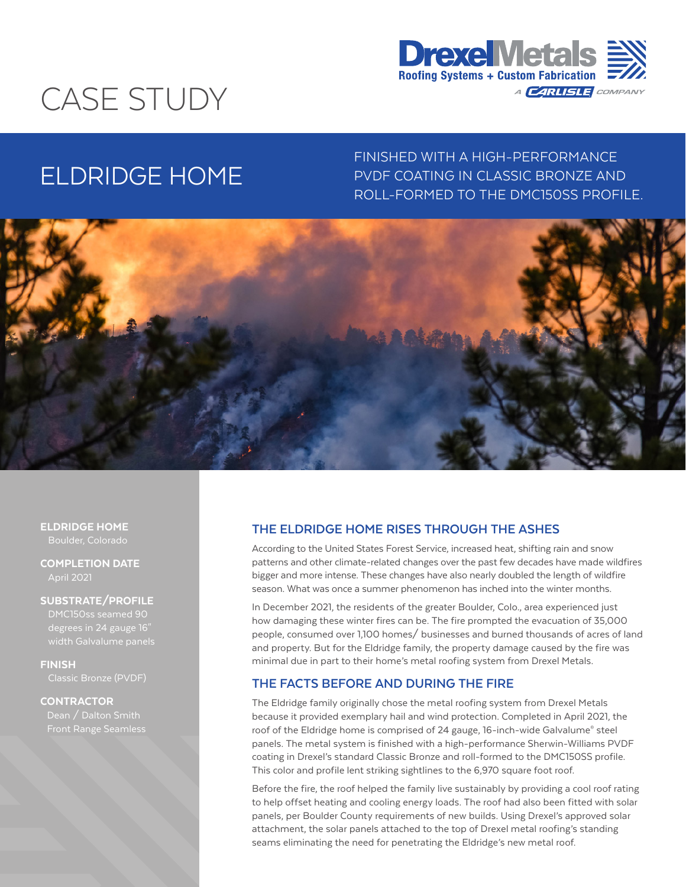# CASE STUDY



# ELDRIDGE HOME

FINISHED WITH A HIGH-PERFORMANCE PVDF COATING IN CLASSIC BRONZE AND ROLL-FORMED TO THE DMC150SS PROFILE.



#### ELDRIDGE HOME Boulder, Colorado

COMPLETION DATE April 2021

#### SUBSTRATE/PROFILE

degrees in 24 gauge 16"

FINISH

## **CONTRACTOR**

# **THE ELDRIDGE HOME RISES THROUGH THE ASHES**

According to the United States Forest Service, increased heat, shifting rain and snow patterns and other climate-related changes over the past few decades have made wildfires bigger and more intense. These changes have also nearly doubled the length of wildfire season. What was once a summer phenomenon has inched into the winter months.

In December 2021, the residents of the greater Boulder, Colo., area experienced just how damaging these winter fires can be. The fire prompted the evacuation of 35,000 people, consumed over 1,100 homes/ businesses and burned thousands of acres of land and property. But for the Eldridge family, the property damage caused by the fire was minimal due in part to their home's metal roofing system from Drexel Metals.

# **THE FACTS BEFORE AND DURING THE FIRE**

The Eldridge family originally chose the metal roofing system from Drexel Metals because it provided exemplary hail and wind protection. Completed in April 2021, the roof of the Eldridge home is comprised of 24 gauge, 16-inch-wide Galvalume® steel panels. The metal system is finished with a high-performance Sherwin-Williams PVDF coating in Drexel's standard Classic Bronze and roll-formed to the DMC150SS profile. This color and profile lent striking sightlines to the 6,970 square foot roof.

Before the fire, the roof helped the family live sustainably by providing a cool roof rating to help offset heating and cooling energy loads. The roof had also been fitted with solar panels, per Boulder County requirements of new builds. Using Drexel's approved solar attachment, the solar panels attached to the top of Drexel metal roofing's standing seams eliminating the need for penetrating the Eldridge's new metal roof.